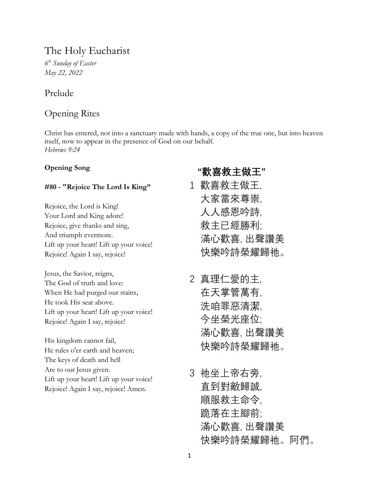# The Holy Eucharist

*6 th Sunday of Easter May 22, 2022*

## Prelude

## Opening Rites

Christ has entered, not into a sanctuary made with hands, a copy of the true one, but into heaven itself, now to appear in the presence of God on our behalf. *Hebrews 9:24*

## **Opening Song**

## **#80 - "Rejoice The Lord Is King"**

Rejoice, the Lord is King! Your Lord and King adore! Rejoice, give thanks and sing, And triumph evermore. Lift up your heart! Lift up your voice! Rejoice! Again I say, rejoice!

Jesus, the Savior, reigns, The God of truth and love: When He had purged our stains, He took His seat above. Lift up your heart! Lift up your voice! Rejoice! Again I say, rejoice!

His kingdom cannot fail, He rules o'er earth and heaven; The keys of death and hell Are to our Jesus given. Lift up your heart! Lift up your voice! Rejoice! Again I say, rejoice! Amen.

# **"歡喜救主做王"**

- 1 歡喜救主做王, 大家當來尊崇, 人人感恩吟詩, 救主已經勝利; 滿心歡喜, 出聲讚美 快樂吟詩榮耀歸祂。
- 2 真理仁愛的主, 在天掌管萬有, 洗咱罪惡清潔, 今坐榮光座位; 滿心歡喜, 出聲讚美 快樂吟詩榮耀歸祂。
- 3 祂坐上帝右旁, 直到對敵歸誠, 順服救主命令, 跪落在主腳前; 滿心歡喜, 出聲讚美 快樂吟詩榮耀歸祂。阿們。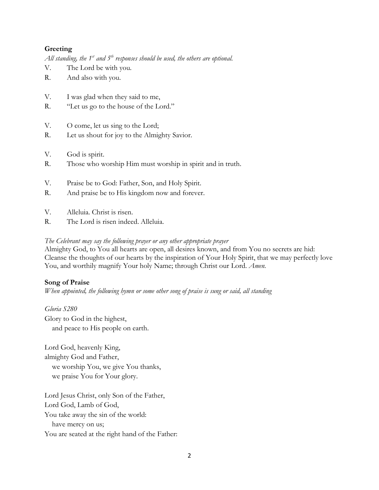## **Greeting**

*All standing, the 1st and 5th responses should be used, the others are optional.*

- V. The Lord be with you.
- R. And also with you.
- V. I was glad when they said to me,
- R. "Let us go to the house of the Lord."
- V. O come, let us sing to the Lord;
- R. Let us shout for joy to the Almighty Savior.
- V. God is spirit.
- R. Those who worship Him must worship in spirit and in truth.
- V. Praise be to God: Father, Son, and Holy Spirit.
- R. And praise be to His kingdom now and forever.
- V. Alleluia. Christ is risen.
- R. The Lord is risen indeed. Alleluia.

### *The Celebrant may say the following prayer or any other appropriate prayer*

Almighty God, to You all hearts are open, all desires known, and from You no secrets are hid: Cleanse the thoughts of our hearts by the inspiration of Your Holy Spirit, that we may perfectly love You, and worthily magnify Your holy Name; through Christ our Lord. *Amen.*

## **Song of Praise**

*When appointed, the following hymn or some other song of praise is sung or said, all standing*

*Gloria S280* Glory to God in the highest, and peace to His people on earth.

Lord God, heavenly King, almighty God and Father, we worship You, we give You thanks, we praise You for Your glory.

Lord Jesus Christ, only Son of the Father, Lord God, Lamb of God, You take away the sin of the world: have mercy on us; You are seated at the right hand of the Father: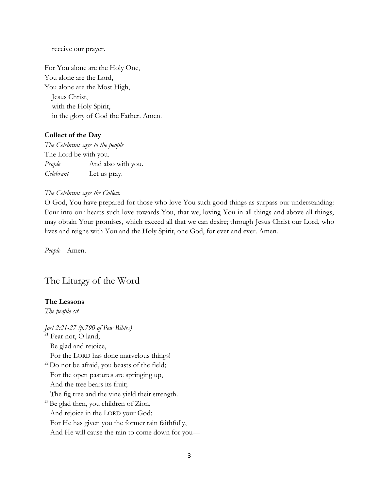receive our prayer.

For You alone are the Holy One, You alone are the Lord, You alone are the Most High, Jesus Christ, with the Holy Spirit, in the glory of God the Father. Amen.

#### **Collect of the Day**

*The Celebrant says to the people* The Lord be with you. *People* And also with you. *Celebrant* Let us pray.

#### *The Celebrant says the Collect.*

O God, You have prepared for those who love You such good things as surpass our understanding: Pour into our hearts such love towards You, that we, loving You in all things and above all things, may obtain Your promises, which exceed all that we can desire; through Jesus Christ our Lord, who lives and reigns with You and the Holy Spirit, one God, for ever and ever. Amen.

*People* Amen.

## The Liturgy of the Word

### **The Lessons**

*The people sit.* 

*Joel 2:21-27 (p.790 of Pew Bibles)* <sup>21</sup> Fear not, O land; Be glad and rejoice, For the LORD has done marvelous things!  $22$  Do not be afraid, you beasts of the field; For the open pastures are springing up, And the tree bears its fruit; The fig tree and the vine yield their strength.  $^{23}$ Be glad then, you children of Zion, And rejoice in the LORD your God; For He has given you the former rain faithfully, And He will cause the rain to come down for you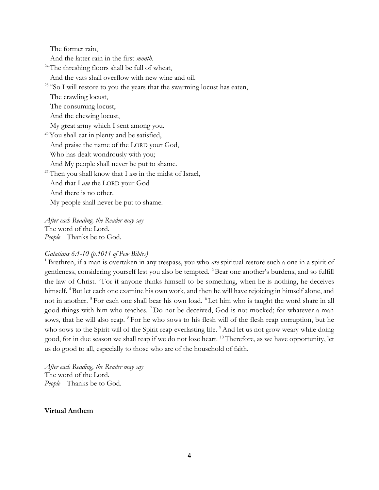The former rain,

And the latter rain in the first *month.*

<sup>24</sup>The threshing floors shall be full of wheat,

And the vats shall overflow with new wine and oil.

<sup>25</sup> "So I will restore to you the years that the swarming locust has eaten,

The crawling locust,

The consuming locust,

And the chewing locust,

My great army which I sent among you.

 $26$ You shall eat in plenty and be satisfied,

And praise the name of the LORD your God,

Who has dealt wondrously with you;

And My people shall never be put to shame.

<sup>27</sup>Then you shall know that I  $am$  in the midst of Israel,

And that I *am* the LORD your God

And there is no other.

My people shall never be put to shame.

*After each Reading, the Reader may say* The word of the Lord. *People* Thanks be to God.

### *Galatians 6:1-10 (p.1011 of Pew Bibles)*

<sup>1</sup> Brethren, if a man is overtaken in any trespass, you who *are* spiritual restore such a one in a spirit of gentleness, considering yourself lest you also be tempted. <sup>2</sup>Bear one another's burdens, and so fulfill the law of Christ.<sup>3</sup> For if anyone thinks himself to be something, when he is nothing, he deceives himself. <sup>4</sup>But let each one examine his own work, and then he will have rejoicing in himself alone, and not in another. <sup>5</sup> For each one shall bear his own load. <sup>6</sup> Let him who is taught the word share in all good things with him who teaches. <sup>7</sup>Do not be deceived, God is not mocked; for whatever a man sows, that he will also reap. <sup>8</sup> For he who sows to his flesh will of the flesh reap corruption, but he who sows to the Spirit will of the Spirit reap everlasting life. <sup>9</sup>And let us not grow weary while doing good, for in due season we shall reap if we do not lose heart. <sup>10</sup>Therefore, as we have opportunity, let us do good to all, especially to those who are of the household of faith.

*After each Reading, the Reader may say* The word of the Lord. *People* Thanks be to God.

#### **Virtual Anthem**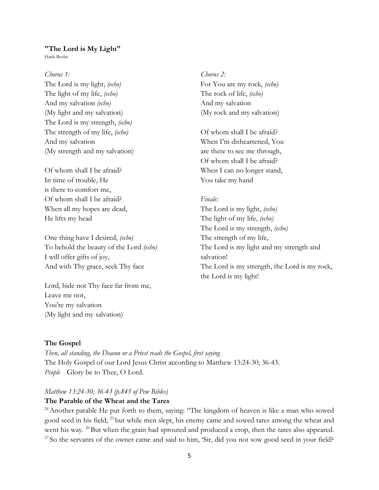#### **"The Lord is My Light"**

Hank Beebe

### *Chorus 1:*

The Lord is my light, *(echo)* The light of my life, *(echo)* And my salvation *(echo)* (My light and my salvation) The Lord is my strength, *(echo)* The strength of my life, *(echo)* And my salvation (My strength and my salvation)

Of whom shall I be afraid? In time of trouble, He is there to comfort me, Of whom shall I be afraid? When all my hopes are dead, He lifts my head

One thing have I desired, *(echo)* To behold the beauty of the Lord *(echo)* I will offer gifts of joy, And with Thy grace, seek Thy face

Lord, hide not Thy face far from me, Leave me not, You're my salvation (My light and my salvation)

*Chorus 2:* For You are my rock, *(echo)* The rock of life, *(echo)* And my salvation (My rock and my salvation)

Of whom shall I be afraid? When I'm disheartened, You are there to see me through, Of whom shall I be afraid? When I can no longer stand, You take my hand

## *Finale:*

The Lord is my light, *(echo)* The light of my life, *(echo)* The Lord is my strength, *(echo)* The strength of my life, The Lord is my light and my strength and salvation! The Lord is my strength, the Lord is my rock, the Lord is my light!

## **The Gospel**

*Then, all standing, the Deacon or a Priest reads the Gospel, first saying* The Holy Gospel of our Lord Jesus Christ according to Matthew 13:24-30; 36-43. *People* Glory be to Thee, O Lord.

#### *Matthew 13:24-30; 36-43 (p.845 of Pew Bibles)*

#### **The Parable of the Wheat and the Tares**

 $24$ Another parable He put forth to them, saying: "The kingdom of heaven is like a man who sowed good seed in his field; <sup>25</sup> but while men slept, his enemy came and sowed tares among the wheat and went his way. <sup>26</sup> But when the grain had sprouted and produced a crop, then the tares also appeared.  $27$  So the servants of the owner came and said to him, 'Sir, did you not sow good seed in your field?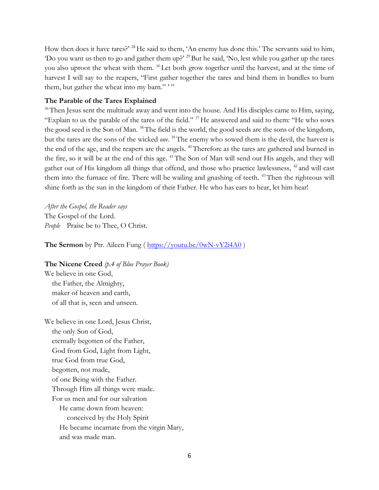How then does it have tares?' <sup>28</sup>He said to them, 'An enemy has done this.' The servants said to him, 'Do you want us then to go and gather them up?' <sup>29</sup>But he said, 'No, lest while you gather up the tares you also uproot the wheat with them. <sup>30</sup> Let both grow together until the harvest, and at the time of harvest I will say to the reapers, "First gather together the tares and bind them in bundles to burn them, but gather the wheat into my barn.""

### **The Parable of the Tares Explained**

<sup>36</sup>Then Jesus sent the multitude away and went into the house. And His disciples came to Him, saying, "Explain to us the parable of the tares of the field." <sup>37</sup>He answered and said to them: "He who sows the good seed is the Son of Man. <sup>38</sup>The field is the world, the good seeds are the sons of the kingdom, but the tares are the sons of the wicked *one.* <sup>39</sup>The enemy who sowed them is the devil, the harvest is the end of the age, and the reapers are the angels. <sup>40</sup>Therefore as the tares are gathered and burned in the fire, so it will be at the end of this age. <sup>41</sup> The Son of Man will send out His angels, and they will gather out of His kingdom all things that offend, and those who practice lawlessness, <sup>42</sup> and will cast them into the furnace of fire. There will be wailing and gnashing of teeth. <sup>43</sup> Then the righteous will shine forth as the sun in the kingdom of their Father. He who has ears to hear, let him hear!

*After the Gospel, the Reader says* The Gospel of the Lord. People Praise be to Thee, O Christ.

**The Sermon** by Ptr. Aileen Fung ( $\frac{https://youtu.be/0wN-vYZi4A0}{https://youtu.be/0wN-vYZi4A0})$ 

**The Nicene Creed** *(p.4 of Blue Prayer Book)*

We believe in one God, the Father, the Almighty, maker of heaven and earth, of all that is, seen and unseen.

We believe in one Lord, Jesus Christ, the only Son of God, eternally begotten of the Father, God from God, Light from Light, true God from true God, begotten, not made, of one Being with the Father. Through Him all things were made. For us men and for our salvation He came down from heaven: conceived by the Holy Spirit He became incarnate from the virgin Mary, and was made man.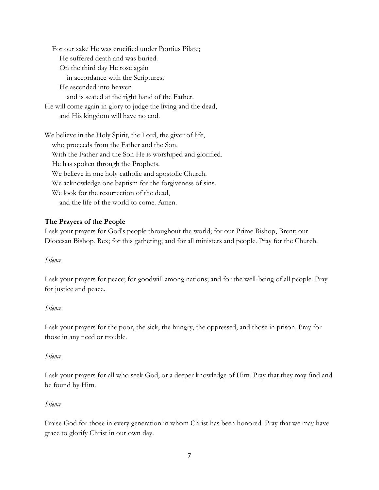For our sake He was crucified under Pontius Pilate; He suffered death and was buried. On the third day He rose again in accordance with the Scriptures; He ascended into heaven and is seated at the right hand of the Father. He will come again in glory to judge the living and the dead, and His kingdom will have no end.

We believe in the Holy Spirit, the Lord, the giver of life, who proceeds from the Father and the Son. With the Father and the Son He is worshiped and glorified. He has spoken through the Prophets. We believe in one holy catholic and apostolic Church. We acknowledge one baptism for the forgiveness of sins. We look for the resurrection of the dead,

and the life of the world to come. Amen.

## **The Prayers of the People**

I ask your prayers for God's people throughout the world; for our Prime Bishop, Brent; our Diocesan Bishop, Rex; for this gathering; and for all ministers and people. Pray for the Church.

### *Silence*

I ask your prayers for peace; for goodwill among nations; and for the well-being of all people. Pray for justice and peace.

#### *Silence*

I ask your prayers for the poor, the sick, the hungry, the oppressed, and those in prison. Pray for those in any need or trouble.

#### *Silence*

I ask your prayers for all who seek God, or a deeper knowledge of Him. Pray that they may find and be found by Him.

#### *Silence*

Praise God for those in every generation in whom Christ has been honored. Pray that we may have grace to glorify Christ in our own day.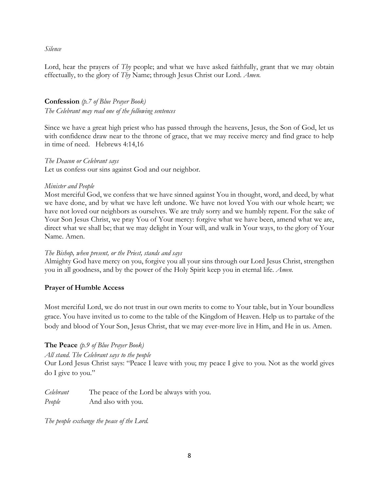## *Silence*

Lord, hear the prayers of *Thy* people; and what we have asked faithfully, grant that we may obtain effectually, to the glory of *Thy* Name; through Jesus Christ our Lord. *Amen.*

## **Confession** *(p.7 of Blue Prayer Book)*

*The Celebrant may read one of the following sentences*

Since we have a great high priest who has passed through the heavens, Jesus, the Son of God, let us with confidence draw near to the throne of grace, that we may receive mercy and find grace to help in time of need. Hebrews 4:14,16

*The Deacon or Celebrant says*

Let us confess our sins against God and our neighbor.

## *Minister and People*

Most merciful God, we confess that we have sinned against You in thought, word, and deed, by what we have done, and by what we have left undone. We have not loved You with our whole heart; we have not loved our neighbors as ourselves. We are truly sorry and we humbly repent. For the sake of Your Son Jesus Christ, we pray You of Your mercy: forgive what we have been, amend what we are, direct what we shall be; that we may delight in Your will, and walk in Your ways, to the glory of Your Name. Amen.

## *The Bishop, when present, or the Priest, stands and says*

Almighty God have mercy on you, forgive you all your sins through our Lord Jesus Christ, strengthen you in all goodness, and by the power of the Holy Spirit keep you in eternal life. *Amen.*

## **Prayer of Humble Access**

Most merciful Lord, we do not trust in our own merits to come to Your table, but in Your boundless grace. You have invited us to come to the table of the Kingdom of Heaven. Help us to partake of the body and blood of Your Son, Jesus Christ, that we may ever-more live in Him, and He in us. Amen.

## **The Peace** *(p.9 of Blue Prayer Book)*

*All stand. The Celebrant says to the people*

Our Lord Jesus Christ says: "Peace I leave with you; my peace I give to you. Not as the world gives do I give to you."

*Celebrant* The peace of the Lord be always with you. *People* And also with you.

*The people exchange the peace of the Lord.*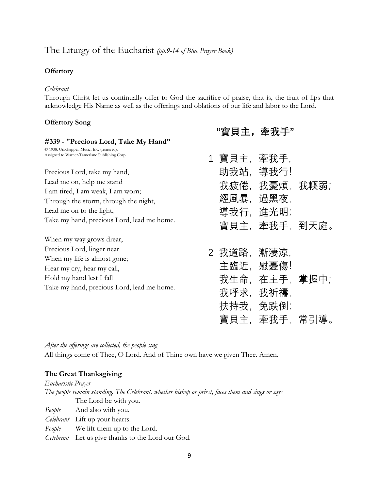## The Liturgy of the Eucharist *(pp.9-14 of Blue Prayer Book)*

### **Offertory**

### *Celebrant*

Through Christ let us continually offer to God the sacrifice of praise, that is, the fruit of lips that acknowledge His Name as well as the offerings and oblations of our life and labor to the Lord.

## **Offertory Song**

| #339 - "Precious Lord, Take My Hand"                                                                                                                                                                              |                                                                    |
|-------------------------------------------------------------------------------------------------------------------------------------------------------------------------------------------------------------------|--------------------------------------------------------------------|
| © 1938, Unichappell Music, Inc. (renewed).<br>Assigned to Warner-Tamerlane Publishing Corp.                                                                                                                       | 1 寶貝主,牽我手,                                                         |
| Precious Lord, take my hand,<br>Lead me on, help me stand<br>I am tired, I am weak, I am worn;<br>Through the storm, through the night,<br>Lead me on to the light,<br>Take my hand, precious Lord, lead me home. | 助我站,導我行!<br>我疲倦, 我憂煩, 我輭弱;<br>經風暴,過黑夜,<br>導我行,進光明;<br>寶貝主,牽我手,到天庭。 |
| When my way grows drear,                                                                                                                                                                                          |                                                                    |
| Precious Lord, linger near<br>When my life is almost gone;<br>Hear my cry, hear my call,<br>Hold my hand lest I fall<br>Take my hand, precious Lord, lead me home.                                                | 2 我道路,漸淒涼.<br>主臨近,慰憂傷!<br>我生命, 在主手, 掌握中;<br>我呼求,我祈禱,<br>扶持我,免跌倒;   |

寶貝主,牽我手,常引導。

**【蜜日十 离共手"** 

*After the offerings are collected, the people sing*

All things come of Thee, O Lord. And of Thine own have we given Thee. Amen.

## **The Great Thanksgiving**

*Eucharistic Prayer The people remain standing. The Celebrant, whether bishop or priest, faces them and sings or says* The Lord be with you. *People* And also with you. *Celebrant* Lift up your hearts. *People* We lift them up to the Lord. *Celebrant* Let us give thanks to the Lord our God.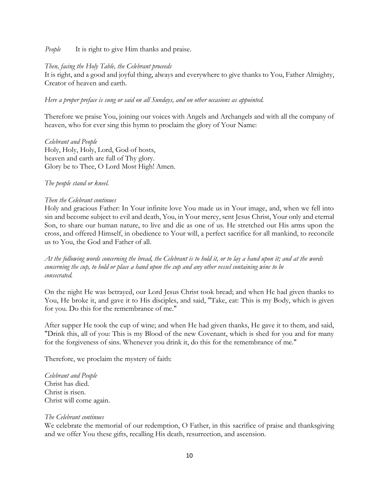*People* It is right to give Him thanks and praise.

## *Then, facing the Holy Table, the Celebrant proceeds*

It is right, and a good and joyful thing, always and everywhere to give thanks to You, Father Almighty, Creator of heaven and earth.

## *Here a proper preface is sung or said on all Sundays, and on other occasions as appointed.*

Therefore we praise You, joining our voices with Angels and Archangels and with all the company of heaven, who for ever sing this hymn to proclaim the glory of Your Name:

*Celebrant and People* Holy, Holy, Holy, Lord, God of hosts, heaven and earth are full of Thy glory. Glory be to Thee, O Lord Most High! Amen.

## *The people stand or kneel.*

## *Then the Celebrant continues*

Holy and gracious Father: In Your infinite love You made us in Your image, and, when we fell into sin and become subject to evil and death, You, in Your mercy, sent Jesus Christ, Your only and eternal Son, to share our human nature, to live and die as one of us. He stretched out His arms upon the cross, and offered Himself, in obedience to Your will, a perfect sacrifice for all mankind, to reconcile us to You, the God and Father of all.

*At the following words concerning the bread, the Celebrant is to hold it, or to lay a hand upon it; and at the words concerning the cup, to hold or place a hand upon the cup and any other vessel containing wine to be consecrated.*

On the night He was betrayed, our Lord Jesus Christ took bread; and when He had given thanks to You, He broke it, and gave it to His disciples, and said, "Take, eat: This is my Body, which is given for you. Do this for the remembrance of me."

After supper He took the cup of wine; and when He had given thanks, He gave it to them, and said, "Drink this, all of you: This is my Blood of the new Covenant, which is shed for you and for many for the forgiveness of sins. Whenever you drink it, do this for the remembrance of me."

Therefore, we proclaim the mystery of faith:

*Celebrant and People* Christ has died. Christ is risen. Christ will come again.

### *The Celebrant continues*

We celebrate the memorial of our redemption, O Father, in this sacrifice of praise and thanksgiving and we offer You these gifts, recalling His death, resurrection, and ascension.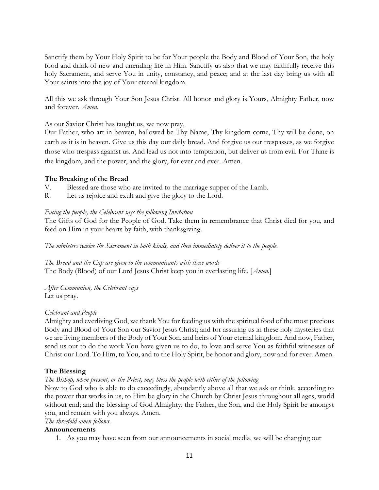Sanctify them by Your Holy Spirit to be for Your people the Body and Blood of Your Son, the holy food and drink of new and unending life in Him. Sanctify us also that we may faithfully receive this holy Sacrament, and serve You in unity, constancy, and peace; and at the last day bring us with all Your saints into the joy of Your eternal kingdom.

All this we ask through Your Son Jesus Christ. All honor and glory is Yours, Almighty Father, now and forever. *Amen.*

As our Savior Christ has taught us, we now pray,

Our Father, who art in heaven, hallowed be Thy Name, Thy kingdom come, Thy will be done, on earth as it is in heaven. Give us this day our daily bread. And forgive us our trespasses, as we forgive those who trespass against us. And lead us not into temptation, but deliver us from evil. For Thine is the kingdom, and the power, and the glory, for ever and ever. Amen.

## **The Breaking of the Bread**

- V. Blessed are those who are invited to the marriage supper of the Lamb.
- R. Let us rejoice and exult and give the glory to the Lord.

## *Facing the people, the Celebrant says the following Invitation*

The Gifts of God for the People of God. Take them in remembrance that Christ died for you, and feed on Him in your hearts by faith, with thanksgiving.

*The ministers receive the Sacrament in both kinds, and then immediately deliver it to the people.*

*The Bread and the Cup are given to the communicants with these words* The Body (Blood) of our Lord Jesus Christ keep you in everlasting life. [*Amen.*]

*After Communion, the Celebrant says* Let us pray.

## *Celebrant and People*

Almighty and everliving God, we thank You for feeding us with the spiritual food of the most precious Body and Blood of Your Son our Savior Jesus Christ; and for assuring us in these holy mysteries that we are living members of the Body of Your Son, and heirs of Your eternal kingdom. And now, Father, send us out to do the work You have given us to do, to love and serve You as faithful witnesses of Christ our Lord. To Him, to You, and to the Holy Spirit, be honor and glory, now and for ever. Amen.

## **The Blessing**

## *The Bishop, when present, or the Priest, may bless the people with either of the following*

Now to God who is able to do exceedingly, abundantly above all that we ask or think, according to the power that works in us, to Him be glory in the Church by Christ Jesus throughout all ages, world without end; and the blessing of God Almighty, the Father, the Son, and the Holy Spirit be amongst you, and remain with you always. Amen.

## *The threefold amen follows.*

## **Announcements**

1. As you may have seen from our announcements in social media, we will be changing our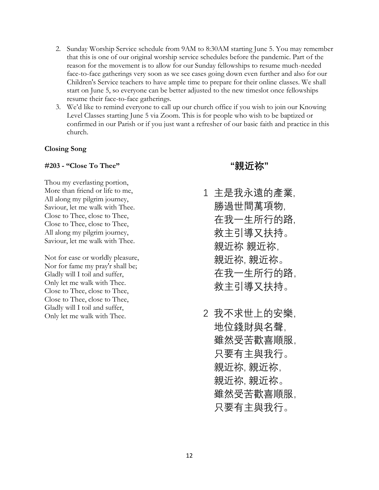- 2. Sunday Worship Service schedule from 9AM to 8:30AM starting June 5. You may remember that this is one of our original worship service schedules before the pandemic. Part of the reason for the movement is to allow for our Sunday fellowships to resume much-needed face-to-face gatherings very soon as we see cases going down even further and also for our Children's Service teachers to have ample time to prepare for their online classes. We shall start on June 5, so everyone can be better adjusted to the new timeslot once fellowships resume their face-to-face gatherings.
- 3. We'd like to remind everyone to call up our church office if you wish to join our Knowing Level Classes starting June 5 via Zoom. This is for people who wish to be baptized or confirmed in our Parish or if you just want a refresher of our basic faith and practice in this church.

#### **Closing Song**

#### **#203 - "Close To Thee"**

Thou my everlasting portion, More than friend or life to me, All along my pilgrim journey, Saviour, let me walk with Thee. Close to Thee, close to Thee, Close to Thee, close to Thee, All along my pilgrim journey, Saviour, let me walk with Thee.

Not for ease or worldly pleasure, Nor for fame my pray'r shall be; Gladly will I toil and suffer, Only let me walk with Thee. Close to Thee, close to Thee, Close to Thee, close to Thee, Gladly will I toil and suffer, Only let me walk with Thee.

 **"親近祢"**

- 1 主是我永遠的產業, 勝過世間萬項物, 在我一生所行的路, 救主引導又扶持。 親近祢 親近祢, 親近祢, 親近祢。 在我一生所行的路, 救主引導又扶持。
- 2 我不求世上的安樂, 地位錢財與名聲, 雖然受苦歡喜順服, 只要有主與我行。 親近祢, 親近祢, 親近祢, 親近祢。 雖然受苦歡喜順服, 只要有主與我行。